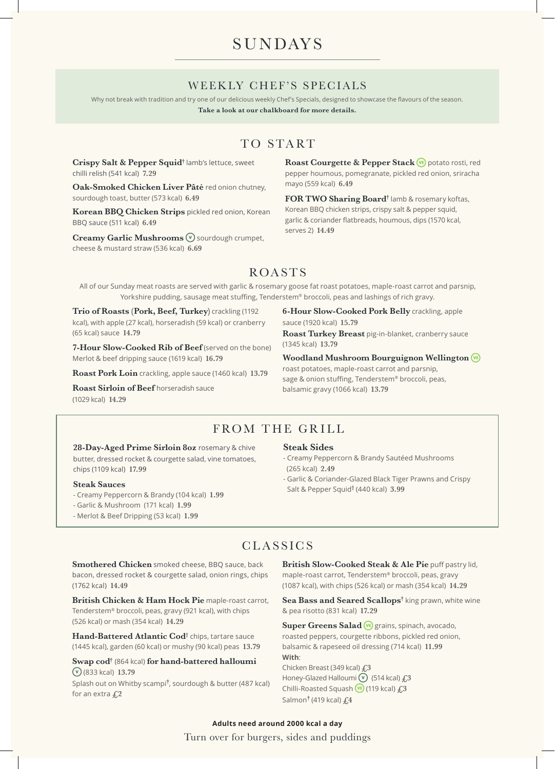# **SUNDAYS**

### WEEKLY CHEF'S SPECIALS

Why not break with tradition and try one of our delicious weekly Chef's Specials, designed to showcase the flavours of the season.

**Take a look at our chalkboard for more details.**

## TO START

**Crispy Salt & Pepper Squid†** lamb's lettuce, sweet chilli relish (541 kcal) **7.29**

**Oak-Smoked Chicken Liver Pâté** red onion chutney, sourdough toast, butter (573 kcal) **6.49**

**Korean BBQ Chicken Strips** pickled red onion, Korean BBQ sauce (511 kcal) **6.49**

**Creamy Garlic Mushrooms**  $\widehat{\mathbf{v}}$  sourdough crumpet, cheese & mustard straw (536 kcal) **6.69**

Roast Courgette & Pepper Stack **(vE)** potato rosti, red pepper houmous, pomegranate, pickled red onion, sriracha mayo (559 kcal) **6.49**

**FOR TWO Sharing Board†** lamb & rosemary koftas, Korean BBQ chicken strips, crispy salt & pepper squid, garlic & coriander flatbreads, houmous, dips (1570 kcal, serves 2) **14.49**

## ROASTS

All of our Sunday meat roasts are served with garlic & rosemary goose fat roast potatoes, maple-roast carrot and parsnip, Yorkshire pudding, sausage meat stuffing, Tenderstem® broccoli, peas and lashings of rich gravy.

**Trio of Roasts (Pork, Beef, Turkey)** crackling (1192 kcal), with apple (27 kcal), horseradish (59 kcal) or cranberry (65 kcal) sauce **14.79**

**7-Hour Slow-Cooked Rib of Beef** (served on the bone) Merlot & beef dripping sauce (1619 kcal) **16.79**

**Roast Pork Loin** crackling, apple sauce (1460 kcal) **13.79**

**Roast Sirloin of Beef** horseradish sauce (1029 kcal) **14.29**

**6-Hour Slow-Cooked Pork Belly** crackling, apple sauce (1920 kcal) **15.79**

**Roast Turkey Breast** pig-in-blanket, cranberry sauce (1345 kcal) **13.79**

**Woodland Mushroom Bourguignon Wellington**  roast potatoes, maple-roast carrot and parsnip, sage & onion stuffing, Tenderstem® broccoli, peas,

## FROM THE GRILL

28-Day-Aged Prime Sirloin 8oz rosemary & chive butter, dressed rocket & courgette salad, vine tomatoes, chips (1109 kcal) **17.99**

#### **Steak Sauces**

- Creamy Peppercorn & Brandy (104 kcal) **1.99**
- Garlic & Mushroom (171 kcal) **1.99**
- Merlot & Beef Dripping (53 kcal) **1.99**

#### **Steak Sides**

balsamic gravy (1066 kcal) **13.79**

- Creamy Peppercorn & Brandy Sautéed Mushrooms (265 kcal) **2.49**
- Garlic & Coriander-Glazed Black Tiger Prawns and Crispy Salt & Pepper Squid† (440 kcal) **3.99**

### CLASSICS

**Smothered Chicken** smoked cheese, BBQ sauce, back bacon, dressed rocket & courgette salad, onion rings, chips (1762 kcal) **14.49**

**British Chicken & Ham Hock Pie** maple-roast carrot, Tenderstem® broccoli, peas, gravy (921 kcal), with chips (526 kcal) or mash (354 kcal) **14.29**

**Hand-Battered Atlantic Cod**† chips, tartare sauce (1445 kcal), garden (60 kcal) or mushy (90 kcal) peas **13.79**

**Swap cod†** (864 kcal) **for hand-battered halloumi**  (833 kcal) **13.79**

Splash out on Whitby scampi**†** , sourdough & butter (487 kcal) for an extra **£2**

**British Slow-Cooked Steak & Ale Pie** puff pastry lid, maple-roast carrot, Tenderstem® broccoli, peas, gravy (1087 kcal), with chips (526 kcal) or mash (354 kcal) **14.29**

Sea Bass and Seared Scallops<sup>†</sup> king prawn, white wine & pea risotto (831 kcal) **17.29**

**Super Greens Salad VE** grains, spinach, avocado, roasted peppers, courgette ribbons, pickled red onion, balsamic & rapeseed oil dressing (714 kcal) **11.99 With**: Chicken Breast (349 kcal) **£3** Honey-Glazed Halloumi(514 kcal) **£3** Chilli-Roasted Squash (119 kcal) **£3** Salmon**†** (419 kcal) **£4**

Turn over for burgers, sides and puddings **Adults need around 2000 kcal a day**